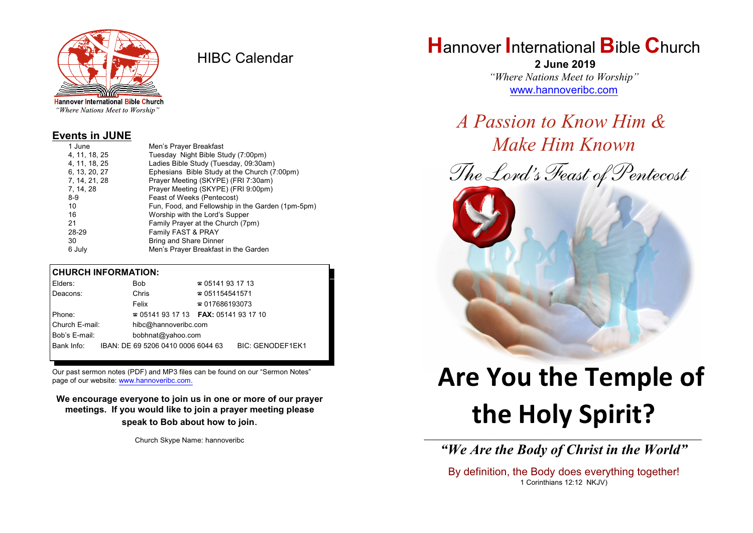

HIBC Calendar

**Hannover International Bible Church** "Where Nations Meet to Worship"

#### **Events in JUNE**

| 1 June        | Men's Prayer Breakfast                            |
|---------------|---------------------------------------------------|
| 4, 11, 18, 25 | Tuesday Night Bible Study (7:00pm)                |
| 4, 11, 18, 25 | Ladies Bible Study (Tuesday, 09:30am)             |
| 6, 13, 20, 27 | Ephesians Bible Study at the Church (7:00pm)      |
| 7, 14, 21, 28 | Prayer Meeting (SKYPE) (FRI 7:30am)               |
| 7, 14, 28     | Prayer Meeting (SKYPE) (FRI 9:00pm)               |
| $8-9$         | Feast of Weeks (Pentecost)                        |
| 10            | Fun, Food, and Fellowship in the Garden (1pm-5pm) |
| 16            | Worship with the Lord's Supper                    |
| 21            | Family Prayer at the Church (7pm)                 |
| 28-29         | Family FAST & PRAY                                |
| 30            | <b>Bring and Share Dinner</b>                     |
| 6 July        | Men's Prayer Breakfast in the Garden              |

#### **CHURCH INFORMATION:**

| Elders:        | Bob                                      | $\approx 05141931713$  |                         |
|----------------|------------------------------------------|------------------------|-------------------------|
| Deacons:       | Chris                                    | $\approx 051154541571$ |                         |
|                | Felix                                    | $\approx 017686193073$ |                         |
| Phone:         | $\approx 05141931713$ FAX: 0514193 17 10 |                        |                         |
| Church E-mail: | hibc@hannoveribc.com                     |                        |                         |
| Bob's E-mail:  | bobhnat@yahoo.com                        |                        |                         |
| Bank Info:     | IBAN: DE 69 5206 0410 0006 6044 63       |                        | <b>BIC: GENODEF1EK1</b> |
|                |                                          |                        |                         |

Our past sermon notes (PDF) and MP3 files can be found on our "Sermon Notes" page of our website: [www.hannoveribc.com.](http://www.hannoveribc.com.)

**We encourage everyone to join us in one or more of our prayer meetings. If you would like to join a prayer meeting please speak to Bob about how to join**.

Church Skype Name: hannoveribc

## **H**annover **I**nternational **B**ible **C**hurch

 **2 June 2019** *"Where Nations Meet to Worship"* [www.hannoveribc.com](http://www.hannoveribc.com)

*A Passion to Know Him & Make Him Known*





# **Are You the Temple of the Holy Spirit?**

\_\_\_\_\_\_\_\_\_\_\_\_\_\_\_\_\_\_\_\_\_\_\_\_\_\_\_\_\_\_\_\_\_\_\_\_\_\_\_\_\_\_\_\_\_\_\_\_\_\_\_\_\_\_\_\_\_\_\_\_\_\_ *"We Are the Body of Christ in the World"*

By definition, the Body does everything together! 1 Corinthians 12:12 NKJV)